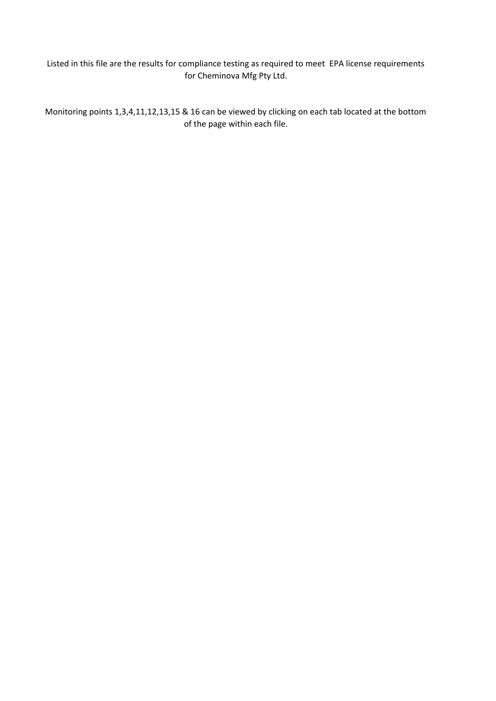Listed in this file are the results for compliance testing as required to meet EPA license requirements for Cheminova Mfg Pty Ltd.

Monitoring points 1,3,4,11,12,13,15 & 16 can be viewed by clicking on each tab located at the bottom of the page within each file.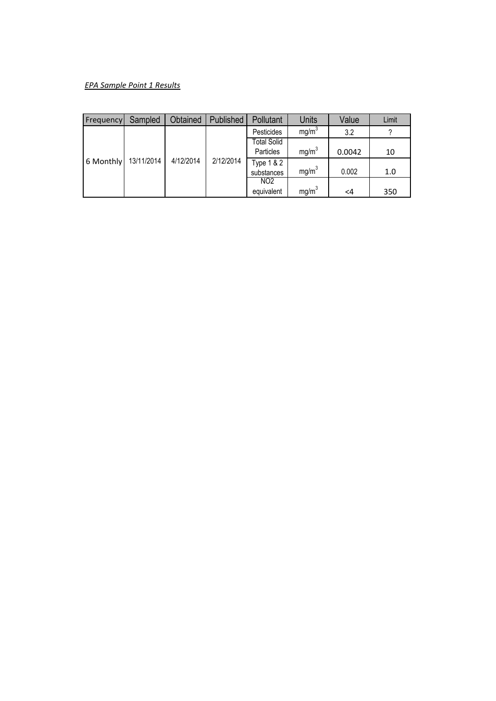# *EPA Sample Point 1 Results*

| <b>Frequency</b> | Sampled    | Obtained  | Published | Pollutant          | <b>Units</b>      | Value  | Limit |
|------------------|------------|-----------|-----------|--------------------|-------------------|--------|-------|
|                  |            |           |           | Pesticides         | mg/m <sup>3</sup> | 3.2    | 2     |
|                  |            |           |           | <b>Total Solid</b> |                   |        |       |
|                  |            |           |           | Particles          | mg/m <sup>3</sup> | 0.0042 | 10    |
| 6 Monthly        | 13/11/2014 | 4/12/2014 | 2/12/2014 | Type 1 & 2         |                   |        |       |
|                  |            |           |           | substances         | mg/m <sup>3</sup> | 0.002  | 1.0   |
|                  |            |           |           | NO <sub>2</sub>    |                   |        |       |
|                  |            |           |           | equivalent         | mg/m <sup>3</sup> | <4     | 350   |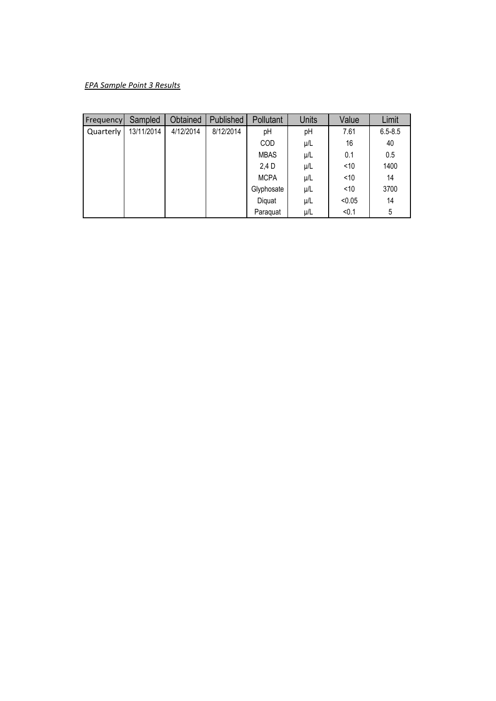# *EPA Sample Point 3 Results*

| Frequency | Sampled    | Obtained  | Published | Pollutant   | <b>Units</b> | Value  | Limit       |
|-----------|------------|-----------|-----------|-------------|--------------|--------|-------------|
| Quarterly | 13/11/2014 | 4/12/2014 | 8/12/2014 | рH          | pH           | 7.61   | $6.5 - 8.5$ |
|           |            |           |           | COD         | μ/L          | 16     | 40          |
|           |            |           |           | <b>MBAS</b> | $\mu/L$      | 0.1    | 0.5         |
|           |            |           |           | 2,4 D       | μ/L          | < 10   | 1400        |
|           |            |           |           | <b>MCPA</b> | μ/L          | < 10   | 14          |
|           |            |           |           | Glyphosate  | μ/L          | < 10   | 3700        |
|           |            |           |           | Diquat      | μ/L          | < 0.05 | 14          |
|           |            |           |           | Paraquat    | μ/L          | < 0.1  | 5           |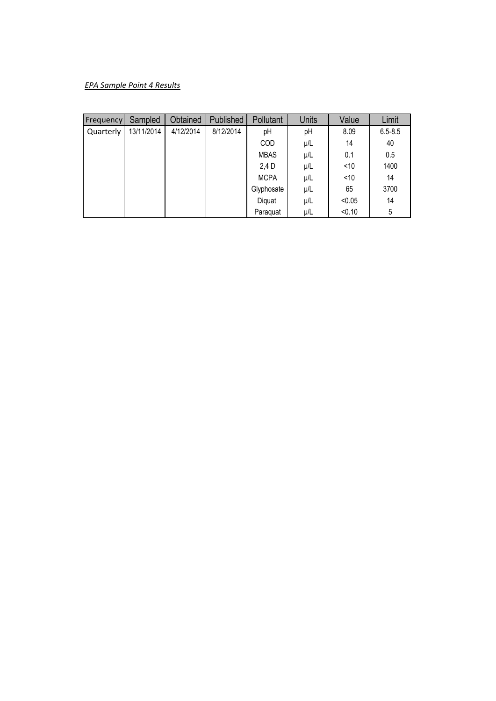# *EPA Sample Point 4 Results*

| Frequency | Sampled    | Obtained  | Published | Pollutant   | <b>Units</b> | Value  | Limit       |
|-----------|------------|-----------|-----------|-------------|--------------|--------|-------------|
| Quarterly | 13/11/2014 | 4/12/2014 | 8/12/2014 | рH          | pH           | 8.09   | $6.5 - 8.5$ |
|           |            |           |           | <b>COD</b>  | μ/L          | 14     | 40          |
|           |            |           |           | <b>MBAS</b> | $\mu/L$      | 0.1    | 0.5         |
|           |            |           |           | 2,4 D       | μ/L          | < 10   | 1400        |
|           |            |           |           | <b>MCPA</b> | μ/L          | < 10   | 14          |
|           |            |           |           | Glyphosate  | μ/L          | 65     | 3700        |
|           |            |           |           | Diquat      | μ/L          | < 0.05 | 14          |
|           |            |           |           | Paraquat    | μ/L          | < 0.10 | 5           |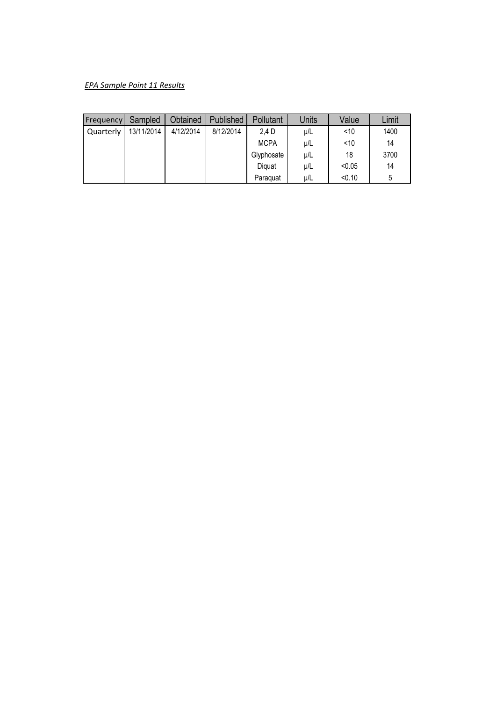# *EPA Sample Point 11 Results*

| Frequency | Sampled    | Obtained  | Published | Pollutant   | Units   | Value  | Limit |
|-----------|------------|-----------|-----------|-------------|---------|--------|-------|
| Quarterly | 13/11/2014 | 4/12/2014 | 8/12/2014 | 2,4 D       | $\mu/L$ | < 10   | 1400  |
|           |            |           |           | <b>MCPA</b> | $\mu/L$ | < 10   | 14    |
|           |            |           |           | Glyphosate  | $\mu/L$ | 18     | 3700  |
|           |            |           |           | Diquat      | $\mu/L$ | < 0.05 | 14    |
|           |            |           |           | Paraguat    | μ/L     | < 0.10 | 5     |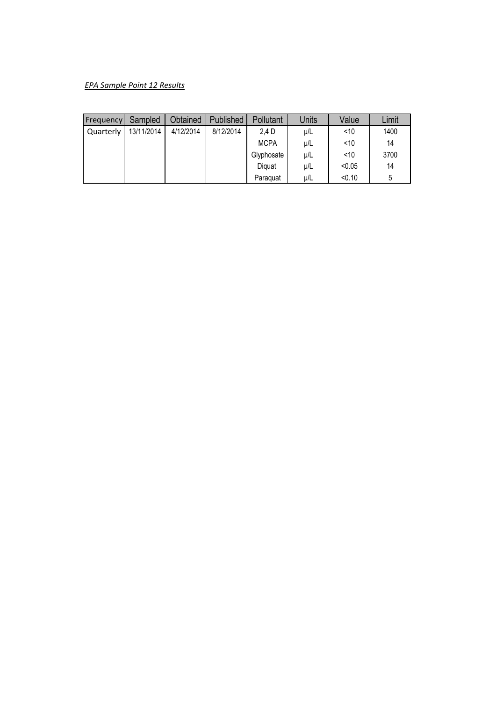# *EPA Sample Point 12 Results*

| Frequency | Sampled    | Obtained  | Published | Pollutant   | Units   | Value  | Limit |
|-----------|------------|-----------|-----------|-------------|---------|--------|-------|
| Quarterly | 13/11/2014 | 4/12/2014 | 8/12/2014 | 2,4 D       | $\mu/L$ | < 10   | 1400  |
|           |            |           |           | <b>MCPA</b> | $\mu/L$ | < 10   | 14    |
|           |            |           |           | Glyphosate  | $\mu/L$ | < 10   | 3700  |
|           |            |           |           | Diquat      | $\mu/L$ | < 0.05 | 14    |
|           |            |           |           | Paraguat    | μ/L     | < 0.10 | 5     |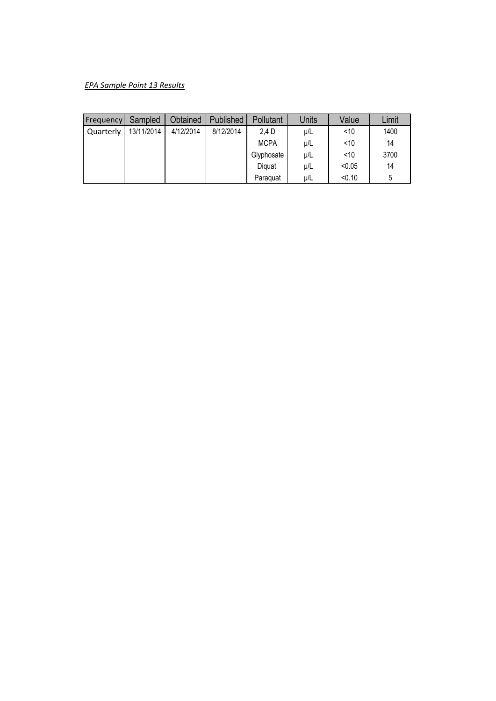# *EPA Sample Point 13 Results*

| Frequency | Sampled    | Obtained  | Published | Pollutant   | Units   | Value  | Limit |
|-----------|------------|-----------|-----------|-------------|---------|--------|-------|
| Quarterly | 13/11/2014 | 4/12/2014 | 8/12/2014 | 2.4 D       | $\mu/L$ | < 10   | 1400  |
|           |            |           |           | <b>MCPA</b> | μ/L     | < 10   | 14    |
|           |            |           |           | Glyphosate  | $\mu/L$ | < 10   | 3700  |
|           |            |           |           | Diquat      | $\mu/L$ | < 0.05 | 14    |
|           |            |           |           | Paraguat    | $\mu/L$ | < 0.10 | 5     |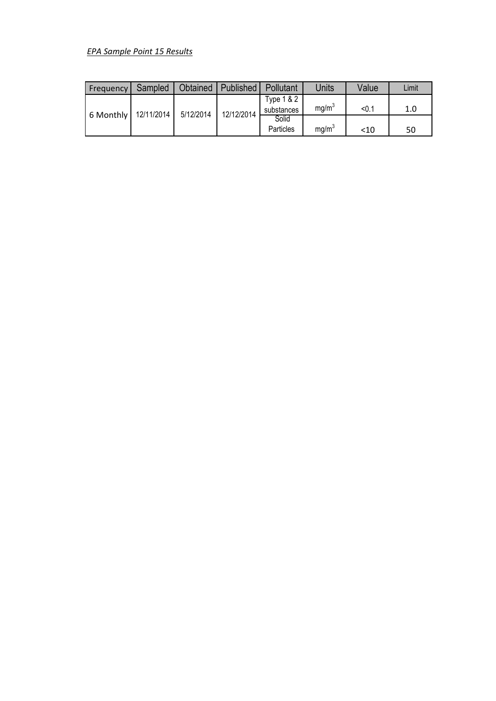# *EPA Sample Point 15 Results*

| Frequency            | Sampled | Obtained  | Published  | Pollutant                | Units             | Value | Limit |
|----------------------|---------|-----------|------------|--------------------------|-------------------|-------|-------|
| 6 Monthly 12/11/2014 |         | 5/12/2014 | 12/12/2014 | Type 1 & 2<br>substances | mg/m <sup>3</sup> | < 0.1 | 1.0   |
|                      |         |           |            | Solid<br>Particles       | mg/m <sup>3</sup> | < 10  | 50    |